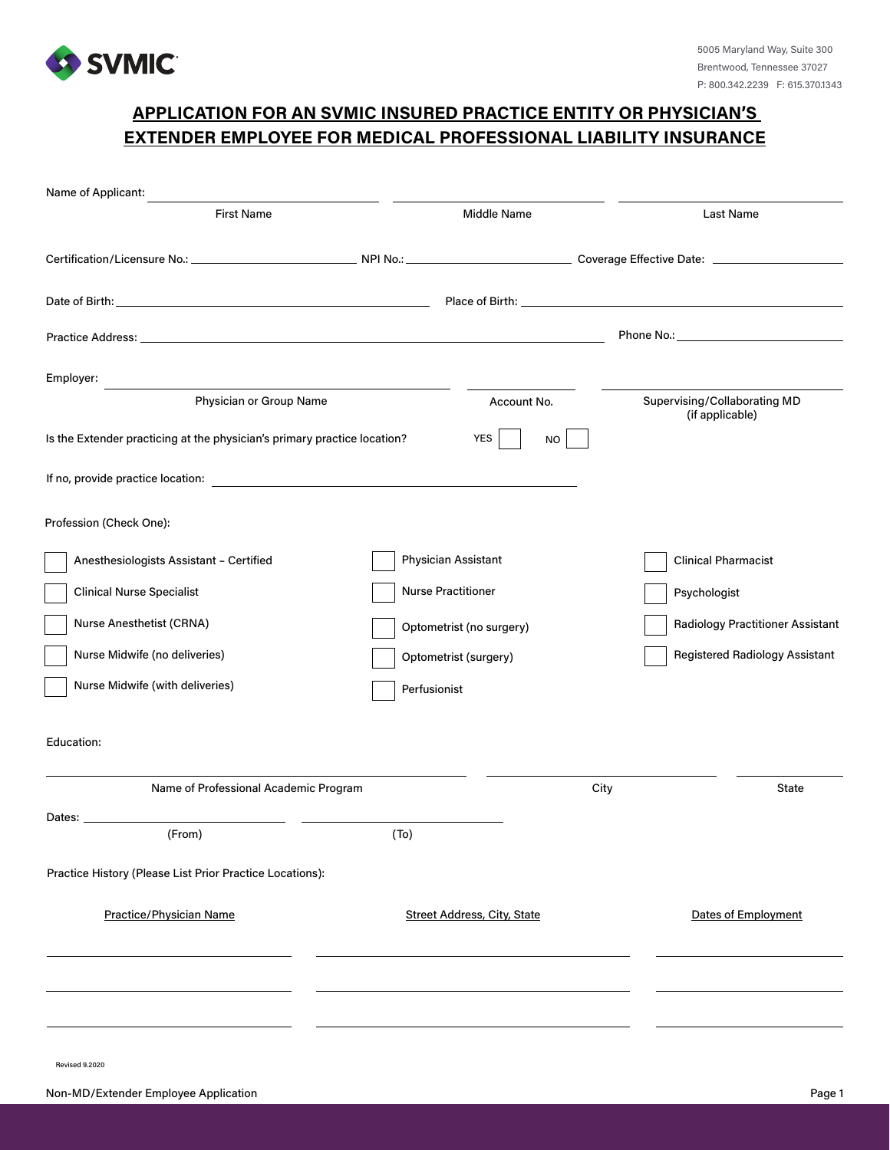

## **APPLICATION FOR AN SVMIC INSURED PRACTICE ENTITY OR PHYSICIAN'S EXTENDER EMPLOYEE FOR MEDICAL PROFESSIONAL LIABILITY INSURANCE**

| Name of Applicant:                                                       |                                    |                                                 |
|--------------------------------------------------------------------------|------------------------------------|-------------------------------------------------|
| <b>First Name</b>                                                        | Middle Name                        | Last Name                                       |
|                                                                          |                                    |                                                 |
|                                                                          |                                    |                                                 |
|                                                                          |                                    | Phone No.: <b>Example 20</b> Phone No.:         |
| Employer:<br><u> 1989 - Johann Stein, mars an de France</u>              |                                    |                                                 |
| Physician or Group Name                                                  | Account No.                        | Supervising/Collaborating MD<br>(if applicable) |
| Is the Extender practicing at the physician's primary practice location? | <b>YES</b><br><b>NO</b>            |                                                 |
|                                                                          |                                    |                                                 |
| Profession (Check One):                                                  |                                    |                                                 |
| Anesthesiologists Assistant - Certified                                  | Physician Assistant                | <b>Clinical Pharmacist</b>                      |
| <b>Clinical Nurse Specialist</b>                                         | <b>Nurse Practitioner</b>          | Psychologist                                    |
| Nurse Anesthetist (CRNA)                                                 | Optometrist (no surgery)           | <b>Radiology Practitioner Assistant</b>         |
| Nurse Midwife (no deliveries)                                            | Optometrist (surgery)              | <b>Registered Radiology Assistant</b>           |
| Nurse Midwife (with deliveries)                                          | Perfusionist                       |                                                 |
| Education:                                                               |                                    |                                                 |
| Name of Professional Academic Program                                    |                                    | City<br>State                                   |
| Dates: __________                                                        |                                    |                                                 |
| (From)                                                                   | (To)                               |                                                 |
| Practice History (Please List Prior Practice Locations):                 |                                    |                                                 |
| Practice/Physician Name                                                  | <b>Street Address, City, State</b> | Dates of Employment                             |
|                                                                          |                                    |                                                 |
|                                                                          |                                    |                                                 |

Revised 9.2020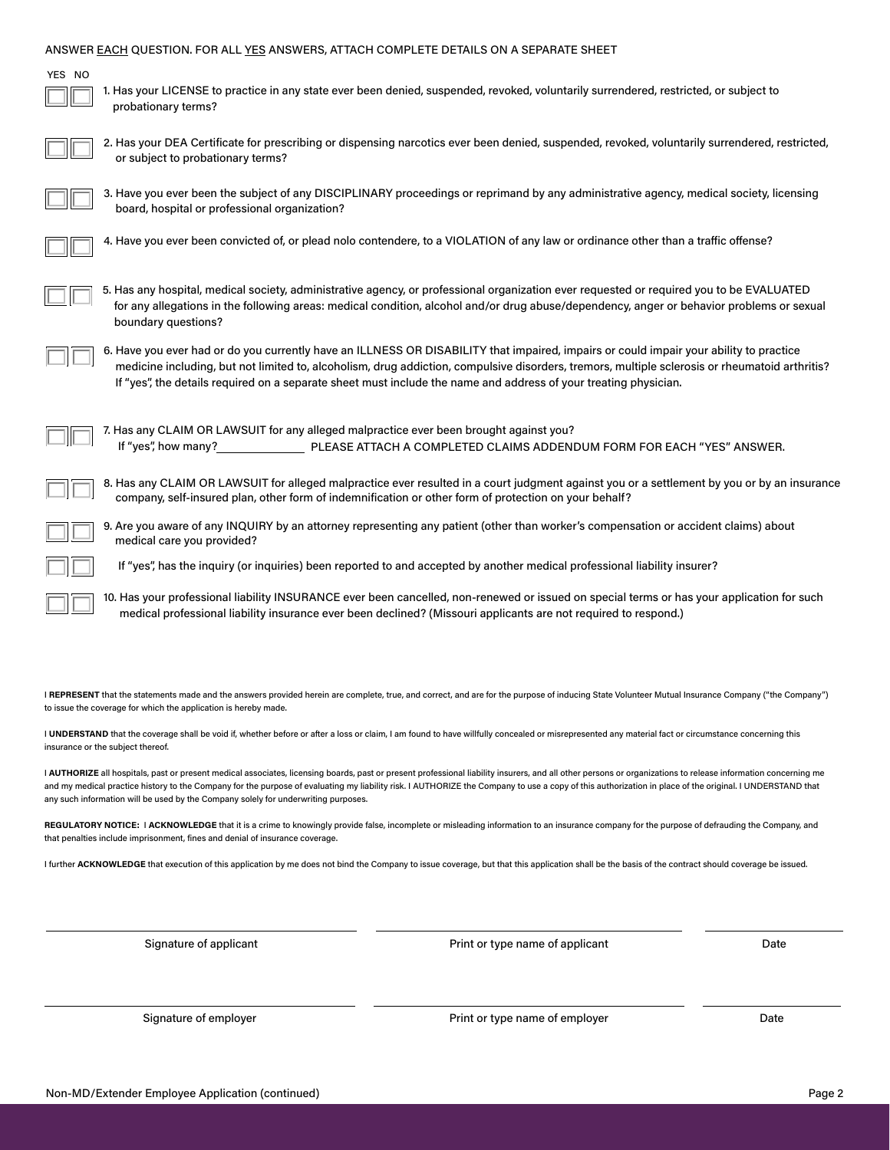| ANSWER EACH QUESTION. FOR ALL YES ANSWERS, ATTACH COMPLETE DETAILS ON A SEPARATE SHEET                                                                                                                                                                        |                                                                                                                                                                                                                                                                                                                                                                                                                          |      |  |  |  |
|---------------------------------------------------------------------------------------------------------------------------------------------------------------------------------------------------------------------------------------------------------------|--------------------------------------------------------------------------------------------------------------------------------------------------------------------------------------------------------------------------------------------------------------------------------------------------------------------------------------------------------------------------------------------------------------------------|------|--|--|--|
| YES NO<br>probationary terms?                                                                                                                                                                                                                                 | 1. Has your LICENSE to practice in any state ever been denied, suspended, revoked, voluntarily surrendered, restricted, or subject to                                                                                                                                                                                                                                                                                    |      |  |  |  |
| or subject to probationary terms?                                                                                                                                                                                                                             | 2. Has your DEA Certificate for prescribing or dispensing narcotics ever been denied, suspended, revoked, voluntarily surrendered, restricted,                                                                                                                                                                                                                                                                           |      |  |  |  |
| board, hospital or professional organization?                                                                                                                                                                                                                 | 3. Have you ever been the subject of any DISCIPLINARY proceedings or reprimand by any administrative agency, medical society, licensing                                                                                                                                                                                                                                                                                  |      |  |  |  |
|                                                                                                                                                                                                                                                               | 4. Have you ever been convicted of, or plead nolo contendere, to a VIOLATION of any law or ordinance other than a traffic offense?                                                                                                                                                                                                                                                                                       |      |  |  |  |
| boundary questions?                                                                                                                                                                                                                                           | 5. Has any hospital, medical society, administrative agency, or professional organization ever requested or required you to be EVALUATED<br>for any allegations in the following areas: medical condition, alcohol and/or drug abuse/dependency, anger or behavior problems or sexual                                                                                                                                    |      |  |  |  |
|                                                                                                                                                                                                                                                               | 6. Have you ever had or do you currently have an ILLNESS OR DISABILITY that impaired, impairs or could impair your ability to practice<br>medicine including, but not limited to, alcoholism, drug addiction, compulsive disorders, tremors, multiple sclerosis or rheumatoid arthritis?<br>If "yes", the details required on a separate sheet must include the name and address of your treating physician.             |      |  |  |  |
| 7. Has any CLAIM OR LAWSUIT for any alleged malpractice ever been brought against you?                                                                                                                                                                        |                                                                                                                                                                                                                                                                                                                                                                                                                          |      |  |  |  |
| 8. Has any CLAIM OR LAWSUIT for alleged malpractice ever resulted in a court judgment against you or a settlement by you or by an insurance<br>company, self-insured plan, other form of indemnification or other form of protection on your behalf?          |                                                                                                                                                                                                                                                                                                                                                                                                                          |      |  |  |  |
| 9. Are you aware of any INQUIRY by an attorney representing any patient (other than worker's compensation or accident claims) about<br>medical care you provided?                                                                                             |                                                                                                                                                                                                                                                                                                                                                                                                                          |      |  |  |  |
| If "yes", has the inquiry (or inquiries) been reported to and accepted by another medical professional liability insurer?                                                                                                                                     |                                                                                                                                                                                                                                                                                                                                                                                                                          |      |  |  |  |
| 10. Has your professional liability INSURANCE ever been cancelled, non-renewed or issued on special terms or has your application for such<br>medical professional liability insurance ever been declined? (Missouri applicants are not required to respond.) |                                                                                                                                                                                                                                                                                                                                                                                                                          |      |  |  |  |
| to issue the coverage for which the application is hereby made.                                                                                                                                                                                               | l REPRESENT that the statements made and the answers provided herein are complete, true, and correct, and are for the purpose of inducing State Volunteer Mutual Insurance Company ("the Company")<br>I UNDERSTAND that the coverage shall be void if, whether before or after a loss or claim, I am found to have willfully concealed or misrepresented any material fact or circumstance concerning this               |      |  |  |  |
| insurance or the subject thereof.                                                                                                                                                                                                                             |                                                                                                                                                                                                                                                                                                                                                                                                                          |      |  |  |  |
| any such information will be used by the Company solely for underwriting purposes.                                                                                                                                                                            | I AUTHORIZE all hospitals, past or present medical associates, licensing boards, past or present professional liability insurers, and all other persons or organizations to release information concerning me<br>and my medical practice history to the Company for the purpose of evaluating my liability risk. I AUTHORIZE the Company to use a copy of this authorization in place of the original. I UNDERSTAND that |      |  |  |  |
| that penalties include imprisonment, fines and denial of insurance coverage.                                                                                                                                                                                  | REGULATORY NOTICE: I ACKNOWLEDGE that it is a crime to knowingly provide false, incomplete or misleading information to an insurance company for the purpose of defrauding the Company, and                                                                                                                                                                                                                              |      |  |  |  |
| I further ACKNOWLEDGE that execution of this application by me does not bind the Company to issue coverage, but that this application shall be the basis of the contract should coverage be issued.                                                           |                                                                                                                                                                                                                                                                                                                                                                                                                          |      |  |  |  |
| Signature of applicant                                                                                                                                                                                                                                        | Print or type name of applicant                                                                                                                                                                                                                                                                                                                                                                                          | Date |  |  |  |
| Signature of employer                                                                                                                                                                                                                                         | Print or type name of employer                                                                                                                                                                                                                                                                                                                                                                                           | Date |  |  |  |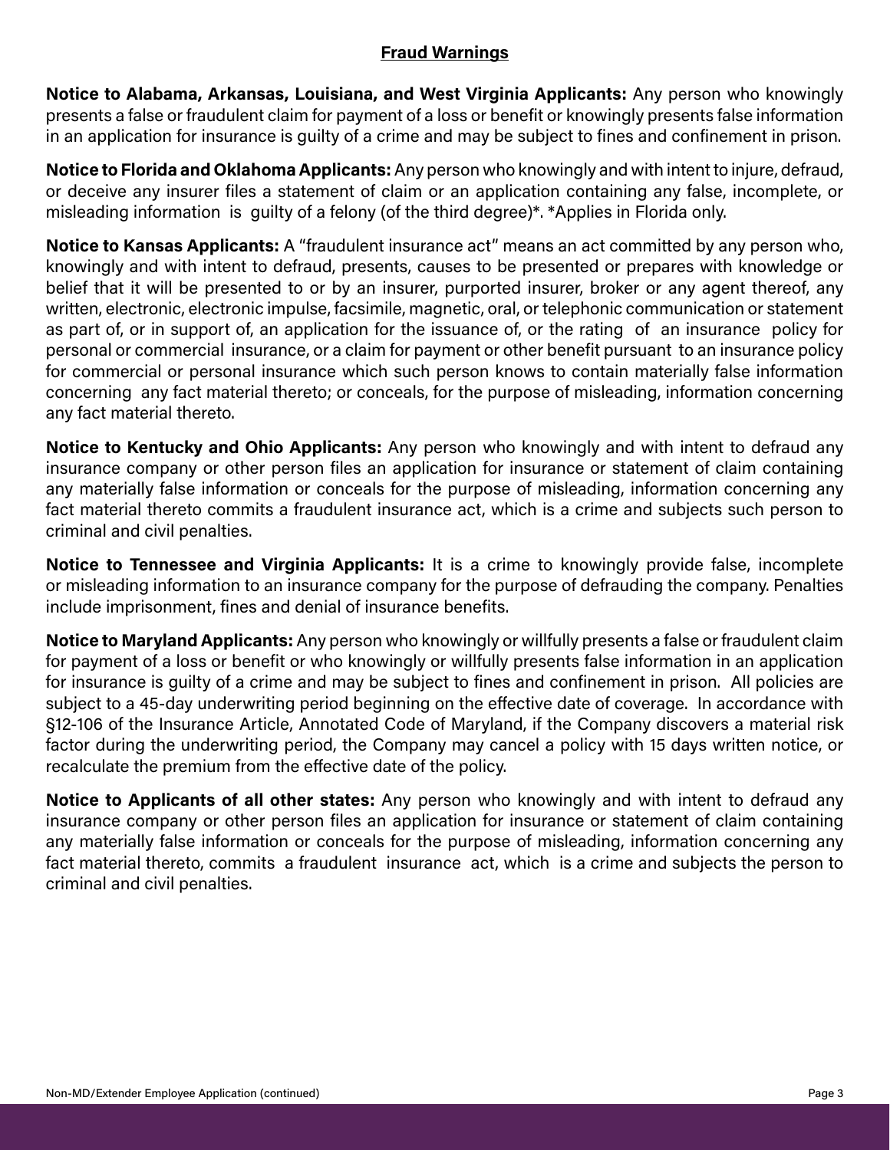## **Fraud Warnings**

**Notice to Alabama, Arkansas, Louisiana, and West Virginia Applicants:** Any person who knowingly presents a false or fraudulent claim for payment of a loss or benefit or knowingly presents false information in an application for insurance is guilty of a crime and may be subject to fines and confinement in prison.

**Notice to Florida and Oklahoma Applicants:** Any person who knowingly and with intent to injure, defraud, or deceive any insurer files a statement of claim or an application containing any false, incomplete, or misleading information is guilty of a felony (of the third degree)\*. \*Applies in Florida only.

**Notice to Kansas Applicants:** A "fraudulent insurance act" means an act committed by any person who, knowingly and with intent to defraud, presents, causes to be presented or prepares with knowledge or belief that it will be presented to or by an insurer, purported insurer, broker or any agent thereof, any written, electronic, electronic impulse, facsimile, magnetic, oral, or telephonic communication or statement as part of, or in support of, an application for the issuance of, or the rating of an insurance policy for personal or commercial insurance, or a claim for payment or other benefit pursuant to an insurance policy for commercial or personal insurance which such person knows to contain materially false information concerning any fact material thereto; or conceals, for the purpose of misleading, information concerning any fact material thereto.

**Notice to Kentucky and Ohio Applicants:** Any person who knowingly and with intent to defraud any insurance company or other person files an application for insurance or statement of claim containing any materially false information or conceals for the purpose of misleading, information concerning any fact material thereto commits a fraudulent insurance act, which is a crime and subjects such person to criminal and civil penalties.

**Notice to Tennessee and Virginia Applicants:** It is a crime to knowingly provide false, incomplete or misleading information to an insurance company for the purpose of defrauding the company. Penalties include imprisonment, fines and denial of insurance benefits.

**Notice to Maryland Applicants:** Any person who knowingly or willfully presents a false or fraudulent claim for payment of a loss or benefit or who knowingly or willfully presents false information in an application for insurance is guilty of a crime and may be subject to fines and confinement in prison. All policies are subject to a 45-day underwriting period beginning on the effective date of coverage. In accordance with §12-106 of the Insurance Article, Annotated Code of Maryland, if the Company discovers a material risk factor during the underwriting period, the Company may cancel a policy with 15 days written notice, or recalculate the premium from the effective date of the policy.

**Notice to Applicants of all other states:** Any person who knowingly and with intent to defraud any insurance company or other person files an application for insurance or statement of claim containing any materially false information or conceals for the purpose of misleading, information concerning any fact material thereto, commits a fraudulent insurance act, which is a crime and subjects the person to criminal and civil penalties.